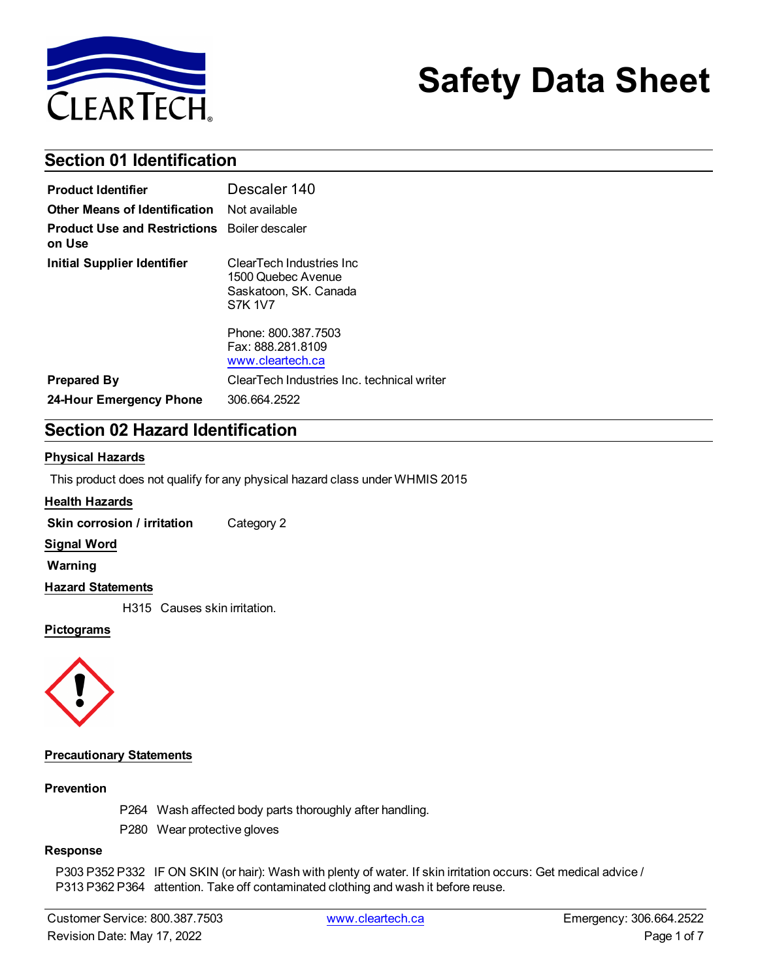

# **Safety Data Sheet**

# **Section 01 Identification**

| <b>Product Identifier</b>                                     | Descaler 140                                                                               |
|---------------------------------------------------------------|--------------------------------------------------------------------------------------------|
| Other Means of Identification                                 | Not available                                                                              |
| <b>Product Use and Restrictions</b> Boiler descaler<br>on Use |                                                                                            |
| Initial Supplier Identifier                                   | ClearTech Industries Inc.<br>1500 Quebec Avenue<br>Saskatoon, SK, Canada<br><b>S7K 1V7</b> |
|                                                               | Phone: 800.387.7503<br>Fax: 888.281.8109<br>www.cleartech.ca                               |
| <b>Prepared By</b>                                            | ClearTech Industries Inc. technical writer                                                 |
| 24-Hour Emergency Phone                                       | 306.664.2522                                                                               |

# **Section 02 Hazard Identification**

#### **Physical Hazards**

This product does not qualify for any physical hazard class under WHMIS 2015

#### **Health Hazards**

**Skin corrosion / irritation** Category 2

#### **Signal Word**

**Warning**

#### **Hazard Statements**

H315 Causes skin irritation.

#### **Pictograms**



#### **Precautionary Statements**

#### **Prevention**

P264 Wash affected body parts thoroughly after handling.

P280 Wear protective gloves

#### **Response**

P303 P352 P332 IF ON SKIN (or hair): Wash with plenty of water. If skin irritation occurs: Get medical advice / P313 P362 P364 attention. Take off contaminated clothing and wash it before reuse.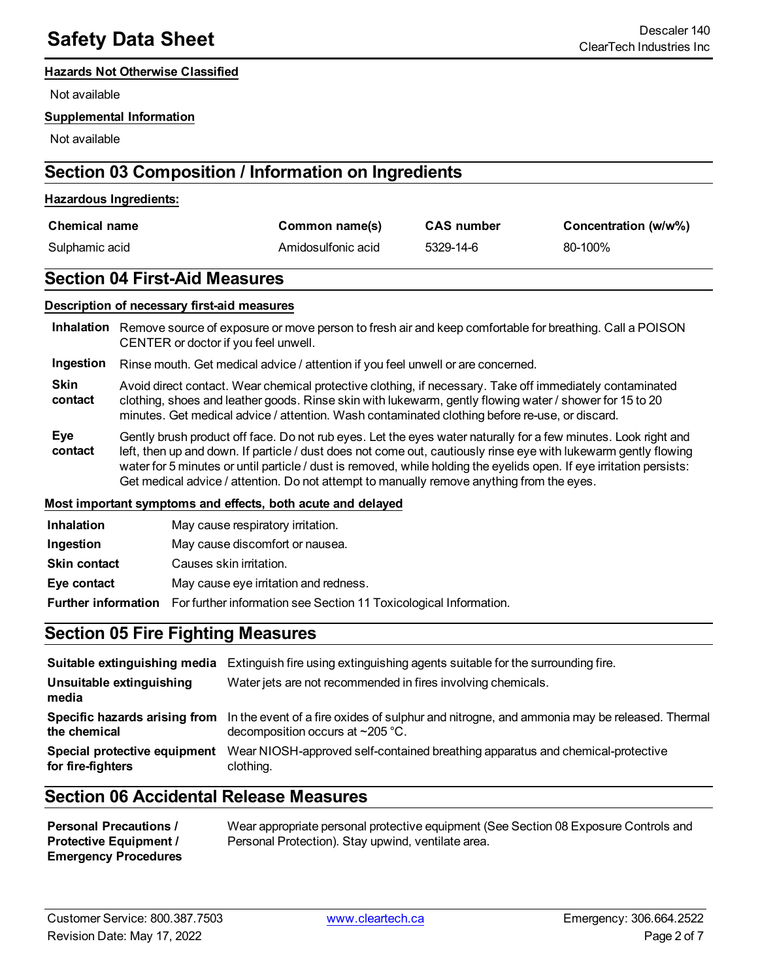#### **Hazards Not Otherwise Classified**

Not available

#### **Supplemental Information**

Not available

# **Section 03 Composition / Information on Ingredients**

#### **Hazardous Ingredients:**

| <b>Chemical name</b> | Common name(s)     | <b>CAS number</b> | Concentration (w/w%) |
|----------------------|--------------------|-------------------|----------------------|
| Sulphamic acid       | Amidosulfonic acid | 5329-14-6         | 80-100%              |

#### **Section 04 First-Aid Measures**

#### **Description of necessary first-aid measures**

**Inhalation** Remove source of exposure or move person to fresh air and keep comfortable for breathing. Call a POISON CENTER or doctor if you feel unwell.

#### **Ingestion** Rinse mouth. Get medical advice / attention if you feel unwell or are concerned.

**Skin contact** Avoid direct contact. Wear chemical protective clothing, if necessary. Take off immediately contaminated clothing, shoes and leather goods. Rinse skin with lukewarm, gently flowing water / shower for 15 to 20 minutes. Get medical advice / attention. Wash contaminated clothing before re-use, or discard.

**Eye contact** Gently brush product off face. Do not rub eyes. Let the eyes water naturally for a few minutes. Look right and left, then up and down. If particle / dust does not come out, cautiously rinse eye with lukewarm gently flowing water for 5 minutes or until particle / dust is removed, while holding the eyelids open. If eye irritation persists: Get medical advice / attention. Do not attempt to manually remove anything from the eyes.

#### **Most important symptoms and effects, both acute and delayed**

| <b>Inhalation</b>   | May cause respiratory irritation.                                                            |
|---------------------|----------------------------------------------------------------------------------------------|
| Ingestion           | May cause discomfort or nausea.                                                              |
| <b>Skin contact</b> | Causes skin irritation.                                                                      |
| Eye contact         | May cause eye irritation and redness.                                                        |
|                     | <b>Further information</b> For further information see Section 11 Toxicological Information. |

### **Section 05 Fire Fighting Measures**

|                                                   | <b>Suitable extinguishing media</b> Extinguish fire using extinguishing agents suitable for the surrounding fire.                                                   |
|---------------------------------------------------|---------------------------------------------------------------------------------------------------------------------------------------------------------------------|
| Unsuitable extinguishing<br>media                 | Water jets are not recommended in fires involving chemicals.                                                                                                        |
| the chemical                                      | Specific hazards arising from In the event of a fire oxides of sulphur and nitrogne, and ammonia may be released. Thermal<br>decomposition occurs at $\sim$ 205 °C. |
| Special protective equipment<br>for fire-fighters | Wear NIOSH-approved self-contained breathing apparatus and chemical-protective<br>clothing.                                                                         |

## **Section 06 Accidental Release Measures**

| <b>Personal Precautions /</b> | Wear appropriate personal protective equipment (See Section 08 Exposure Controls and |
|-------------------------------|--------------------------------------------------------------------------------------|
| <b>Protective Equipment /</b> | Personal Protection). Stay upwind, ventilate area.                                   |
| <b>Emergency Procedures</b>   |                                                                                      |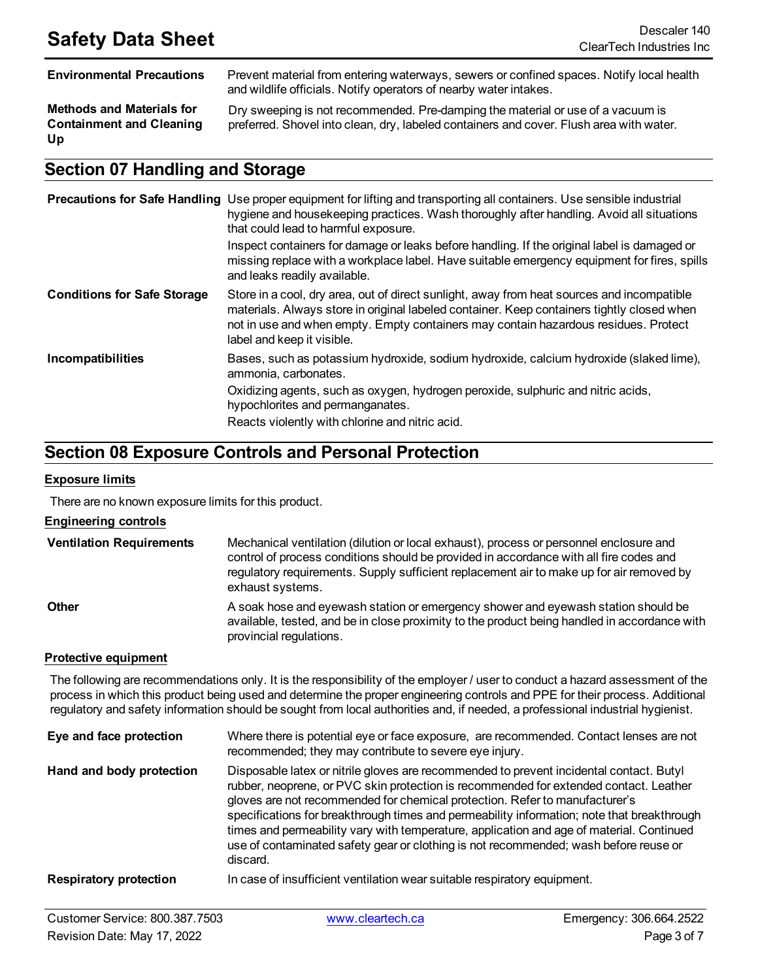**Environmental Precautions** Prevent material from entering waterways, sewers or confined spaces. Notify local health and wildlife officials. Notify operators of nearby water intakes.

**Methods and Materials for Containment and Cleaning Up**

Dry sweeping is not recommended. Pre-damping the material or use of a vacuum is preferred. Shovel into clean, dry, labeled containers and cover. Flush area with water.

## **Section 07 Handling and Storage**

|                                    | <b>Precautions for Safe Handling</b> Use proper equipment for lifting and transporting all containers. Use sensible industrial<br>hygiene and housekeeping practices. Wash thoroughly after handling. Avoid all situations<br>that could lead to harmful exposure.<br>Inspect containers for damage or leaks before handling. If the original label is damaged or<br>missing replace with a workplace label. Have suitable emergency equipment for fires, spills<br>and leaks readily available. |
|------------------------------------|--------------------------------------------------------------------------------------------------------------------------------------------------------------------------------------------------------------------------------------------------------------------------------------------------------------------------------------------------------------------------------------------------------------------------------------------------------------------------------------------------|
| <b>Conditions for Safe Storage</b> | Store in a cool, dry area, out of direct sunlight, away from heat sources and incompatible<br>materials. Always store in original labeled container. Keep containers tightly closed when<br>not in use and when empty. Empty containers may contain hazardous residues. Protect<br>label and keep it visible.                                                                                                                                                                                    |
| Incompatibilities                  | Bases, such as potassium hydroxide, sodium hydroxide, calcium hydroxide (slaked lime),<br>ammonia, carbonates.<br>Oxidizing agents, such as oxygen, hydrogen peroxide, sulphuric and nitric acids,<br>hypochlorites and permanganates.<br>Reacts violently with chlorine and nitric acid.                                                                                                                                                                                                        |

## **Section 08 Exposure Controls and Personal Protection**

#### **Exposure limits**

There are no known exposure limits for this product.

#### **Engineering controls**

| <b>Ventilation Requirements</b> | Mechanical ventilation (dilution or local exhaust), process or personnel enclosure and<br>control of process conditions should be provided in accordance with all fire codes and<br>regulatory requirements. Supply sufficient replacement air to make up for air removed by<br>exhaust systems. |
|---------------------------------|--------------------------------------------------------------------------------------------------------------------------------------------------------------------------------------------------------------------------------------------------------------------------------------------------|
| <b>Other</b>                    | A soak hose and eyewash station or emergency shower and eyewash station should be<br>available, tested, and be in close proximity to the product being handled in accordance with<br>provincial regulations.                                                                                     |

#### **Protective equipment**

The following are recommendations only. It is the responsibility of the employer / user to conduct a hazard assessment of the process in which this product being used and determine the proper engineering controls and PPE for their process. Additional regulatory and safety information should be sought from local authorities and, if needed, a professional industrial hygienist.

| Eye and face protection       | Where there is potential eye or face exposure, are recommended. Contact lenses are not<br>recommended; they may contribute to severe eye injury.                                                                                                                                                                                                                                                                                                                                                                                                              |
|-------------------------------|---------------------------------------------------------------------------------------------------------------------------------------------------------------------------------------------------------------------------------------------------------------------------------------------------------------------------------------------------------------------------------------------------------------------------------------------------------------------------------------------------------------------------------------------------------------|
| Hand and body protection      | Disposable latex or nitrile gloves are recommended to prevent incidental contact. Butyl<br>rubber, neoprene, or PVC skin protection is recommended for extended contact. Leather<br>gloves are not recommended for chemical protection. Refer to manufacturer's<br>specifications for breakthrough times and permeability information; note that breakthrough<br>times and permeability vary with temperature, application and age of material. Continued<br>use of contaminated safety gear or clothing is not recommended; wash before reuse or<br>discard. |
| <b>Respiratory protection</b> | In case of insufficient ventilation wear suitable respiratory equipment.                                                                                                                                                                                                                                                                                                                                                                                                                                                                                      |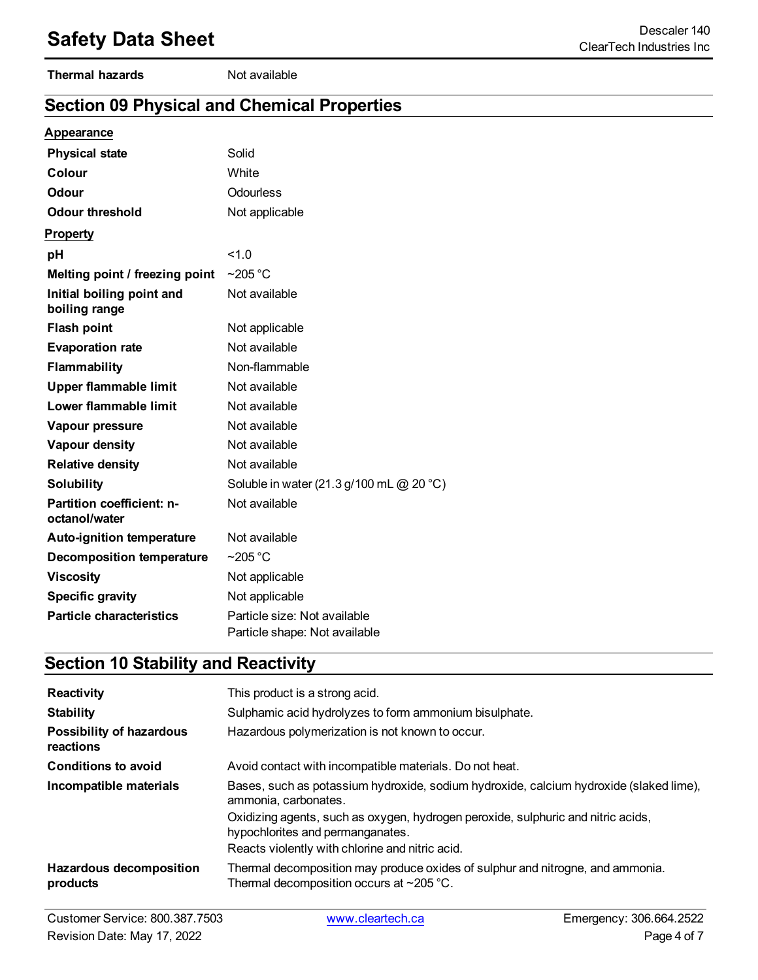#### **Thermal hazards** Not available

# **Section 09 Physical and Chemical Properties**

#### **Appearance**

| <b>Physical state</b>                      | Solid                                                         |
|--------------------------------------------|---------------------------------------------------------------|
| Colour                                     | White                                                         |
| <b>Odour</b>                               | Odourless                                                     |
| <b>Odour threshold</b>                     | Not applicable                                                |
| <b>Property</b>                            |                                                               |
| pH                                         | 1.0                                                           |
| Melting point / freezing point             | $~205$ °C                                                     |
| Initial boiling point and<br>boiling range | Not available                                                 |
| <b>Flash point</b>                         | Not applicable                                                |
| <b>Evaporation rate</b>                    | Not available                                                 |
| Flammability                               | Non-flammable                                                 |
| <b>Upper flammable limit</b>               | Not available                                                 |
| Lower flammable limit                      | Not available                                                 |
| Vapour pressure                            | Not available                                                 |
| Vapour density                             | Not available                                                 |
| <b>Relative density</b>                    | Not available                                                 |
| <b>Solubility</b>                          | Soluble in water (21.3 g/100 mL @ 20 °C)                      |
| Partition coefficient: n-<br>octanol/water | Not available                                                 |
| <b>Auto-ignition temperature</b>           | Not available                                                 |
| <b>Decomposition temperature</b>           | $\sim$ 205 °C                                                 |
| <b>Viscosity</b>                           | Not applicable                                                |
| <b>Specific gravity</b>                    | Not applicable                                                |
| <b>Particle characteristics</b>            | Particle size: Not available<br>Particle shape: Not available |

# **Section 10 Stability and Reactivity**

| <b>Reactivity</b>                            | This product is a strong acid.                                                                                                   |
|----------------------------------------------|----------------------------------------------------------------------------------------------------------------------------------|
| <b>Stability</b>                             | Sulphamic acid hydrolyzes to form ammonium bisulphate.                                                                           |
| <b>Possibility of hazardous</b><br>reactions | Hazardous polymerization is not known to occur.                                                                                  |
| <b>Conditions to avoid</b>                   | Avoid contact with incompatible materials. Do not heat.                                                                          |
| Incompatible materials                       | Bases, such as potassium hydroxide, sodium hydroxide, calcium hydroxide (slaked lime),<br>ammonia, carbonates,                   |
|                                              | Oxidizing agents, such as oxygen, hydrogen peroxide, sulphuric and nitric acids,<br>hypochlorites and permanganates.             |
|                                              | Reacts violently with chlorine and nitric acid.                                                                                  |
| Hazardous decomposition<br>products          | Thermal decomposition may produce oxides of sulphur and nitrogne, and ammonia.<br>Thermal decomposition occurs at $\sim$ 205 °C. |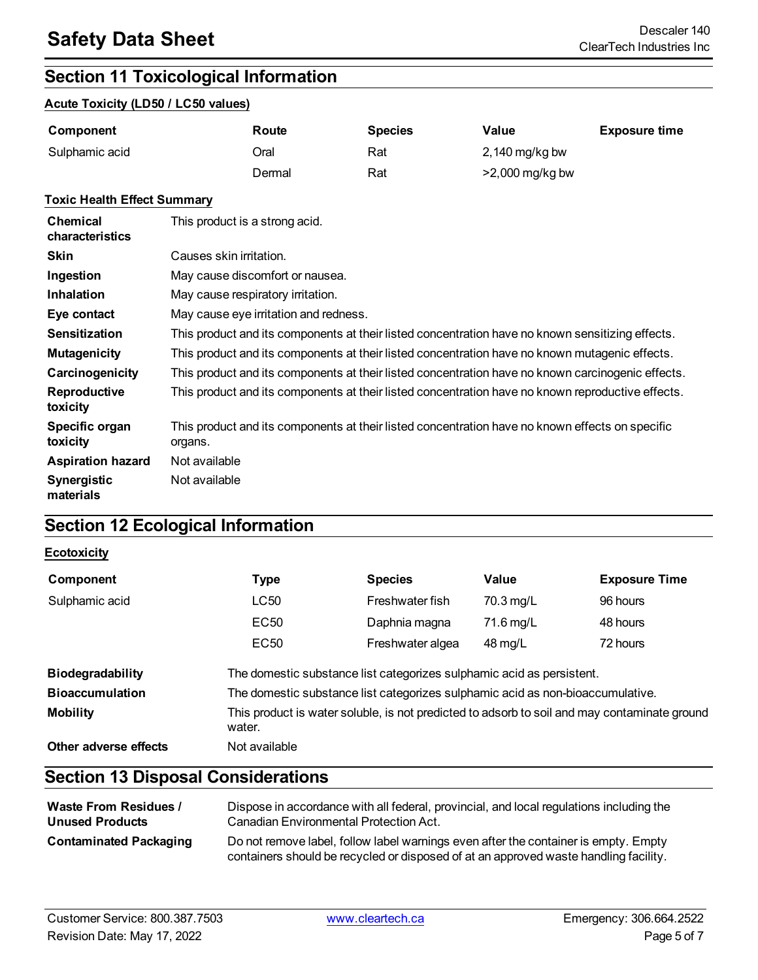# **Section 11 Toxicological Information**

#### **Acute Toxicity (LD50 / LC50 values)**

| Component      | Route  | <b>Species</b> | Value           | <b>Exposure time</b> |
|----------------|--------|----------------|-----------------|----------------------|
| Sulphamic acid | Oral   | Rat            | 2,140 mg/kg bw  |                      |
|                | Dermal | Rat            | >2,000 mg/kg bw |                      |

#### **Toxic Health Effect Summary**

| <b>Chemical</b><br>characteristics | This product is a strong acid.                                                                             |
|------------------------------------|------------------------------------------------------------------------------------------------------------|
| <b>Skin</b>                        | Causes skin irritation.                                                                                    |
| Ingestion                          | May cause discomfort or nausea.                                                                            |
| Inhalation                         | May cause respiratory irritation.                                                                          |
| Eye contact                        | May cause eye irritation and redness.                                                                      |
| <b>Sensitization</b>               | This product and its components at their listed concentration have no known sensitizing effects.           |
| <b>Mutagenicity</b>                | This product and its components at their listed concentration have no known mutagenic effects.             |
| Carcinogenicity                    | This product and its components at their listed concentration have no known carcinogenic effects.          |
| <b>Reproductive</b><br>toxicity    | This product and its components at their listed concentration have no known reproductive effects.          |
| Specific organ<br>toxicity         | This product and its components at their listed concentration have no known effects on specific<br>organs. |
| <b>Aspiration hazard</b>           | Not available                                                                                              |
| <b>Synergistic</b><br>materials    | Not available                                                                                              |

# **Section 12 Ecological Information**

#### **Ecotoxicity**

| Component               | Type                                                                                                   | <b>Species</b>   | Value     | <b>Exposure Time</b> |
|-------------------------|--------------------------------------------------------------------------------------------------------|------------------|-----------|----------------------|
| Sulphamic acid          | LC50                                                                                                   | Freshwater fish  | 70.3 mg/L | 96 hours             |
|                         | EC50                                                                                                   | Daphnia magna    | 71.6 mg/L | 48 hours             |
|                         | EC50                                                                                                   | Freshwater algea | 48 mg/L   | 72 hours             |
| <b>Biodegradability</b> | The domestic substance list categorizes sulphamic acid as persistent.                                  |                  |           |                      |
| <b>Bioaccumulation</b>  | The domestic substance list categorizes sulphamic acid as non-bioaccumulative.                         |                  |           |                      |
| <b>Mobility</b>         | This product is water soluble, is not predicted to adsorb to soil and may contaminate ground<br>water. |                  |           |                      |
| Other adverse effects   | Not available                                                                                          |                  |           |                      |

# **Section 13 Disposal Considerations**

| <b>Waste From Residues /</b>  | Dispose in accordance with all federal, provincial, and local regulations including the                                                                                     |
|-------------------------------|-----------------------------------------------------------------------------------------------------------------------------------------------------------------------------|
| <b>Unused Products</b>        | Canadian Environmental Protection Act.                                                                                                                                      |
| <b>Contaminated Packaging</b> | Do not remove label, follow label warnings even after the container is empty. Empty<br>containers should be recycled or disposed of at an approved waste handling facility. |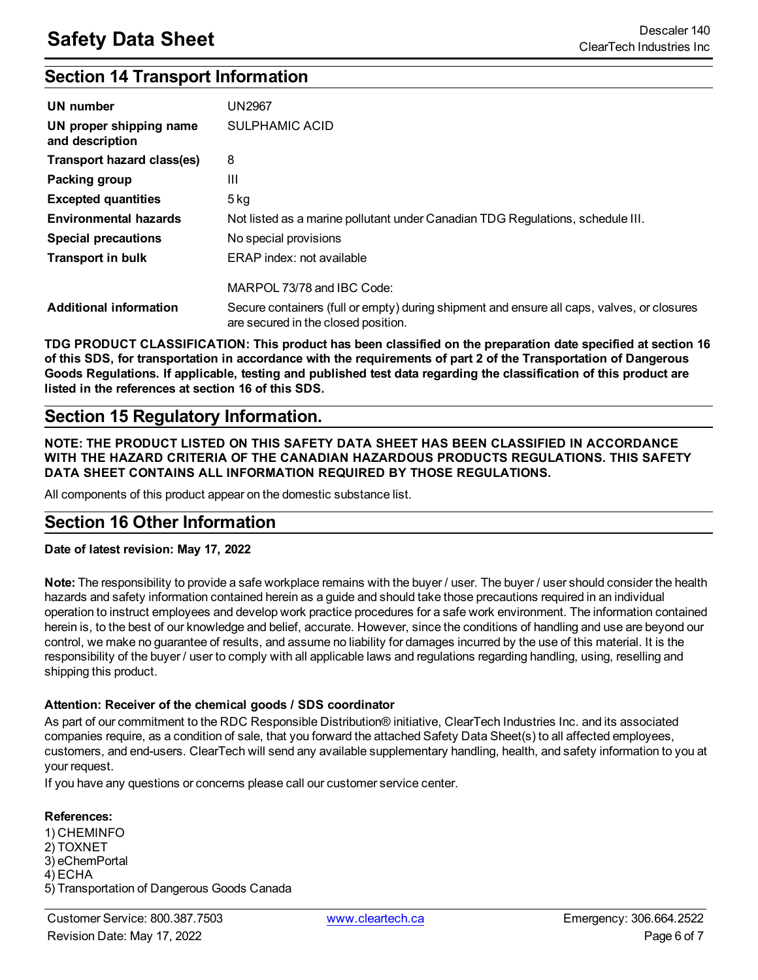# **Section 14 Transport Information**

| UN number                                  | <b>UN2967</b>                                                                                                                     |
|--------------------------------------------|-----------------------------------------------------------------------------------------------------------------------------------|
| UN proper shipping name<br>and description | SULPHAMIC ACID                                                                                                                    |
| Transport hazard class(es)                 | 8                                                                                                                                 |
| Packing group                              | Ш                                                                                                                                 |
| <b>Excepted quantities</b>                 | $5$ kg                                                                                                                            |
| <b>Environmental hazards</b>               | Not listed as a marine pollutant under Canadian TDG Regulations, schedule III.                                                    |
| <b>Special precautions</b>                 | No special provisions                                                                                                             |
| <b>Transport in bulk</b>                   | ERAP index: not available                                                                                                         |
|                                            | MARPOL 73/78 and IBC Code:                                                                                                        |
| <b>Additional information</b>              | Secure containers (full or empty) during shipment and ensure all caps, valves, or closures<br>are secured in the closed position. |

**TDG PRODUCT CLASSIFICATION: This product has been classified on the preparation date specified at section 16** of this SDS, for transportation in accordance with the requirements of part 2 of the Transportation of Dangerous Goods Regulations. If applicable, testing and published test data regarding the classification of this product are **listed in the references at section 16 of this SDS.**

## **Section 15 Regulatory Information.**

**NOTE: THE PRODUCT LISTED ON THIS SAFETY DATA SHEET HAS BEEN CLASSIFIED IN ACCORDANCE WITH THE HAZARD CRITERIA OF THE CANADIAN HAZARDOUS PRODUCTS REGULATIONS. THIS SAFETY DATA SHEET CONTAINS ALL INFORMATION REQUIRED BY THOSE REGULATIONS.**

All components of this product appear on the domestic substance list.

## **Section 16 Other Information**

#### **Date of latest revision: May 17, 2022**

**Note:** The responsibility to provide a safe workplace remains with the buyer / user. The buyer / user should consider the health hazards and safety information contained herein as a guide and should take those precautions required in an individual operation to instruct employees and develop work practice procedures for a safe work environment. The information contained herein is, to the best of our knowledge and belief, accurate. However, since the conditions of handling and use are beyond our control, we make no guarantee of results, and assume no liability for damages incurred by the use of this material. It is the responsibility of the buyer / user to comply with all applicable laws and regulations regarding handling, using, reselling and shipping this product.

#### **Attention: Receiver of the chemical goods / SDS coordinator**

As part of our commitment to the RDC Responsible Distribution® initiative, ClearTech Industries Inc. and its associated companies require, as a condition of sale, that you forward the attached Safety Data Sheet(s) to all affected employees, customers, and end-users. ClearTech will send any available supplementary handling, health, and safety information to you at your request.

If you have any questions or concerns please call our customer service center.

#### **References:**

1) CHEMINFO 2) TOXNET 3) eChemPortal 4) ECHA 5) Transportation of Dangerous Goods Canada